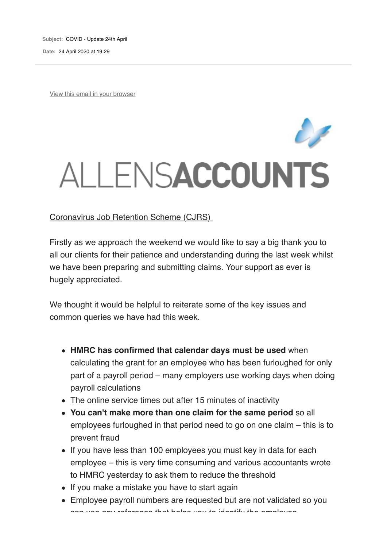**Subject:** COVID - Update 24th April **Date:** 24 April 2020 at 19:29

View this email in your browser

## ALLENSACCOUNTS

Coronavirus Job Retention Scheme (CJRS)

Firstly as we approach the weekend we would like to say a big thank you to all our clients for their patience and understanding during the last week whilst we have been preparing and submitting claims. Your support as ever is hugely appreciated.

We thought it would be helpful to reiterate some of the key issues and common queries we have had this week.

- **HMRC has confirmed that calendar days must be used** when calculating the grant for an employee who has been furloughed for only part of a payroll period – many employers use working days when doing payroll calculations
- The online service times out after 15 minutes of inactivity
- **You can't make more than one claim for the same period** so all employees furloughed in that period need to go on one claim – this is to prevent fraud
- If you have less than 100 employees you must key in data for each employee – this is very time consuming and various accountants wrote to HMRC yesterday to ask them to reduce the threshold
- If you make a mistake you have to start again
- Employee payroll numbers are requested but are not validated so you can use any reference that helps you to identify the employee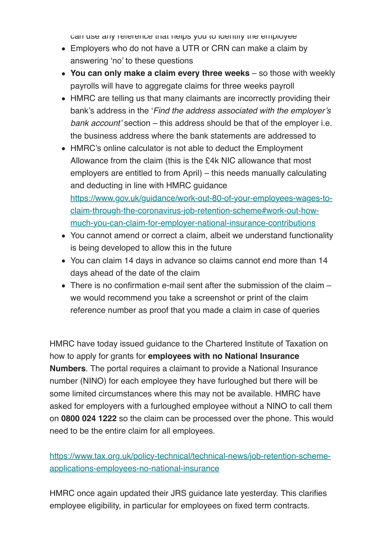can use any reference that helps you to identify the employee

- Employers who do not have a UTR or CRN can make a claim by answering 'no' to these questions
- **You can only make a claim every three weeks** so those with weekly payrolls will have to aggregate claims for three weeks payroll
- HMRC are telling us that many claimants are incorrectly providing their bank's address in the '*Find the address associated with the employer's bank account'* section – this address should be that of the employer i.e. the business address where the bank statements are addressed to
- HMRC's online calculator is not able to deduct the Employment Allowance from the claim (this is the £4k NIC allowance that most employers are entitled to from April) – this needs manually calculating and deducting in line with HMRC guidance https://www.gov.uk/guidance/work-out-80-of-your-employees-wages-toclaim-through-the-coronavirus-job-retention-scheme#work-out-howmuch-you-can-claim-for-employer-national-insurance-contributions
- You cannot amend or correct a claim, albeit we understand functionality is being developed to allow this in the future
- You can claim 14 days in advance so claims cannot end more than 14 days ahead of the date of the claim
- There is no confirmation e-mail sent after the submission of the claim we would recommend you take a screenshot or print of the claim reference number as proof that you made a claim in case of queries

HMRC have today issued guidance to the Chartered Institute of Taxation on how to apply for grants for **employees with no National Insurance Numbers**. The portal requires a claimant to provide a National Insurance number (NINO) for each employee they have furloughed but there will be some limited circumstances where this may not be available. HMRC have asked for employers with a furloughed employee without a NINO to call them on **0800 024 1222** so the claim can be processed over the phone. This would need to be the entire claim for all employees.

https://www.tax.org.uk/policy-technical/technical-news/job-retention-schemeapplications-employees-no-national-insurance

HMRC once again updated their JRS guidance late yesterday. This clarifies employee eligibility, in particular for employees on fixed term contracts.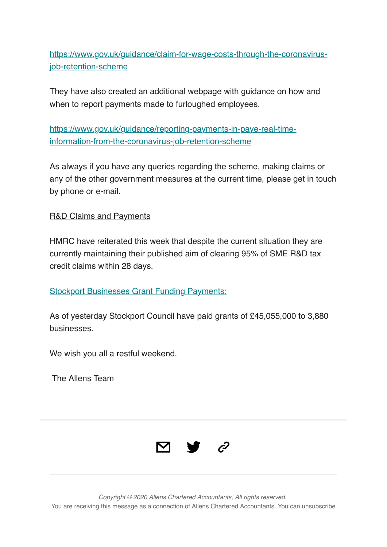https://www.gov.uk/guidance/claim-for-wage-costs-through-the-coronavirusjob-retention-scheme

They have also created an additional webpage with guidance on how and when to report payments made to furloughed employees.

https://www.gov.uk/guidance/reporting-payments-in-paye-real-timeinformation-from-the-coronavirus-job-retention-scheme

As always if you have any queries regarding the scheme, making claims or any of the other government measures at the current time, please get in touch by phone or e-mail.

R&D Claims and Payments

HMRC have reiterated this week that despite the current situation they are currently maintaining their published aim of clearing 95% of SME R&D tax credit claims within 28 days.

**Stockport Businesses Grant Funding Payments:** 

As of yesterday Stockport Council have paid grants of £45,055,000 to 3,880 businesses.

We wish you all a restful weekend.

The Allens Team



*Copyright © 2020 Allens Chartered Accountants, All rights reserved.* You are receiving this message as a connection of Allens Chartered Accountants. You can unsubscribe